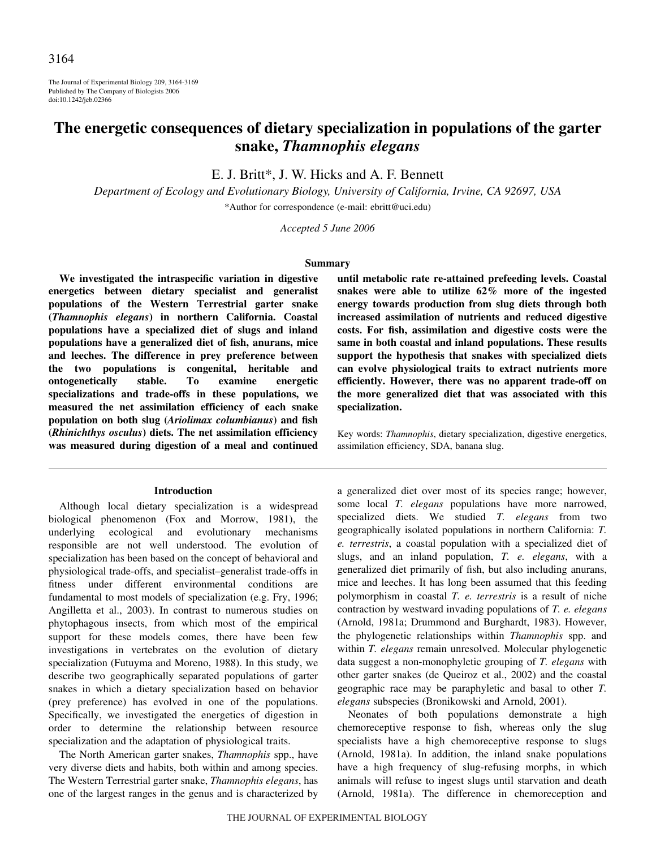The Journal of Experimental Biology 209, 3164-3169 Published by The Company of Biologists 2006 doi:10.1242/jeb.02366

# **The energetic consequences of dietary specialization in populations of the garter snake,** *Thamnophis elegans*

E. J. Britt\*, J. W. Hicks and A. F. Bennett

*Department of Ecology and Evolutionary Biology, University of California, Irvine, CA 92697, USA* \*Author for correspondence (e-mail: ebritt@uci.edu)

*Accepted 5 June 2006*

# **Summary**

**We investigated the intraspecific variation in digestive energetics between dietary specialist and generalist populations of the Western Terrestrial garter snake (***Thamnophis elegans***) in northern California. Coastal populations have a specialized diet of slugs and inland populations have a generalized diet of fish, anurans, mice and leeches. The difference in prey preference between the two populations is congenital, heritable and ontogenetically stable. To examine energetic specializations and trade-offs in these populations, we measured the net assimilation efficiency of each snake population on both slug (***Ariolimax columbianus***) and fish (***Rhinichthys osculus***) diets. The net assimilation efficiency was measured during digestion of a meal and continued**

### **Introduction**

Although local dietary specialization is a widespread biological phenomenon (Fox and Morrow, 1981), the underlying ecological and evolutionary mechanisms responsible are not well understood. The evolution of specialization has been based on the concept of behavioral and physiological trade-offs, and specialist–generalist trade-offs in fitness under different environmental conditions are fundamental to most models of specialization (e.g. Fry, 1996; Angilletta et al., 2003). In contrast to numerous studies on phytophagous insects, from which most of the empirical support for these models comes, there have been few investigations in vertebrates on the evolution of dietary specialization (Futuyma and Moreno, 1988). In this study, we describe two geographically separated populations of garter snakes in which a dietary specialization based on behavior (prey preference) has evolved in one of the populations. Specifically, we investigated the energetics of digestion in order to determine the relationship between resource specialization and the adaptation of physiological traits.

The North American garter snakes, *Thamnophis* spp., have very diverse diets and habits, both within and among species. The Western Terrestrial garter snake, *Thamnophis elegans*, has one of the largest ranges in the genus and is characterized by

**until metabolic rate re-attained prefeeding levels. Coastal snakes were able to utilize 62% more of the ingested energy towards production from slug diets through both increased assimilation of nutrients and reduced digestive costs. For fish, assimilation and digestive costs were the same in both coastal and inland populations. These results support the hypothesis that snakes with specialized diets can evolve physiological traits to extract nutrients more efficiently. However, there was no apparent trade-off on the more generalized diet that was associated with this specialization.**

Key words: *Thamnophis*, dietary specialization, digestive energetics, assimilation efficiency, SDA, banana slug.

a generalized diet over most of its species range; however, some local *T. elegans* populations have more narrowed, specialized diets. We studied *T. elegans* from two geographically isolated populations in northern California: *T. e. terrestris*, a coastal population with a specialized diet of slugs, and an inland population, *T. e. elegans*, with a generalized diet primarily of fish, but also including anurans, mice and leeches. It has long been assumed that this feeding polymorphism in coastal *T. e. terrestris* is a result of niche contraction by westward invading populations of *T. e. elegans* (Arnold, 1981a; Drummond and Burghardt, 1983). However, the phylogenetic relationships within *Thamnophis* spp. and within *T. elegans* remain unresolved. Molecular phylogenetic data suggest a non-monophyletic grouping of *T. elegans* with other garter snakes (de Queiroz et al., 2002) and the coastal geographic race may be paraphyletic and basal to other *T. elegans* subspecies (Bronikowski and Arnold, 2001).

Neonates of both populations demonstrate a high chemoreceptive response to fish, whereas only the slug specialists have a high chemoreceptive response to slugs (Arnold, 1981a). In addition, the inland snake populations have a high frequency of slug-refusing morphs, in which animals will refuse to ingest slugs until starvation and death (Arnold, 1981a). The difference in chemoreception and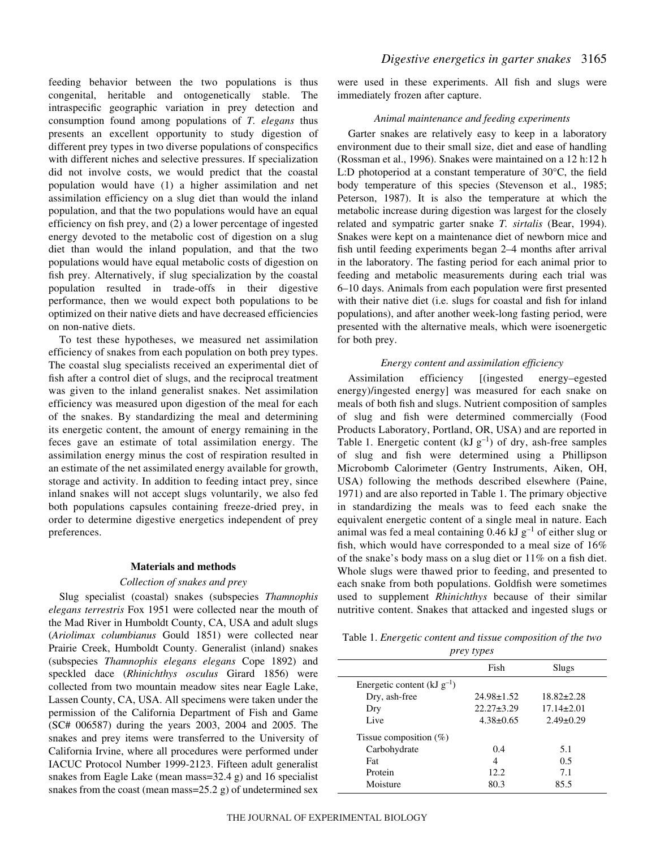feeding behavior between the two populations is thus congenital, heritable and ontogenetically stable. The intraspecific geographic variation in prey detection and consumption found among populations of *T. elegans* thus presents an excellent opportunity to study digestion of different prey types in two diverse populations of conspecifics with different niches and selective pressures. If specialization did not involve costs, we would predict that the coastal population would have (1) a higher assimilation and net assimilation efficiency on a slug diet than would the inland population, and that the two populations would have an equal efficiency on fish prey, and (2) a lower percentage of ingested energy devoted to the metabolic cost of digestion on a slug diet than would the inland population, and that the two populations would have equal metabolic costs of digestion on fish prey. Alternatively, if slug specialization by the coastal population resulted in trade-offs in their digestive performance, then we would expect both populations to be optimized on their native diets and have decreased efficiencies on non-native diets.

To test these hypotheses, we measured net assimilation efficiency of snakes from each population on both prey types. The coastal slug specialists received an experimental diet of fish after a control diet of slugs, and the reciprocal treatment was given to the inland generalist snakes. Net assimilation efficiency was measured upon digestion of the meal for each of the snakes. By standardizing the meal and determining its energetic content, the amount of energy remaining in the feces gave an estimate of total assimilation energy. The assimilation energy minus the cost of respiration resulted in an estimate of the net assimilated energy available for growth, storage and activity. In addition to feeding intact prey, since inland snakes will not accept slugs voluntarily, we also fed both populations capsules containing freeze-dried prey, in order to determine digestive energetics independent of prey preferences.

# **Materials and methods**

### *Collection of snakes and prey*

Slug specialist (coastal) snakes (subspecies *Thamnophis elegans terrestris* Fox 1951 were collected near the mouth of the Mad River in Humboldt County, CA, USA and adult slugs (*Ariolimax columbianus* Gould 1851) were collected near Prairie Creek, Humboldt County. Generalist (inland) snakes (subspecies *Thamnophis elegans elegans* Cope 1892) and speckled dace (*Rhinichthys osculus* Girard 1856) were collected from two mountain meadow sites near Eagle Lake, Lassen County, CA, USA. All specimens were taken under the permission of the California Department of Fish and Game (SC# 006587) during the years 2003, 2004 and 2005. The snakes and prey items were transferred to the University of California Irvine, where all procedures were performed under IACUC Protocol Number 1999-2123. Fifteen adult generalist snakes from Eagle Lake (mean mass= $32.4$  g) and 16 specialist snakes from the coast (mean mass= $25.2$  g) of undetermined sex

were used in these experiments. All fish and slugs were immediately frozen after capture.

# *Animal maintenance and feeding experiments*

Garter snakes are relatively easy to keep in a laboratory environment due to their small size, diet and ease of handling (Rossman et al., 1996). Snakes were maintained on a 12 h:12 h L:D photoperiod at a constant temperature of 30°C, the field body temperature of this species (Stevenson et al., 1985; Peterson, 1987). It is also the temperature at which the metabolic increase during digestion was largest for the closely related and sympatric garter snake *T. sirtalis* (Bear, 1994). Snakes were kept on a maintenance diet of newborn mice and fish until feeding experiments began 2–4 months after arrival in the laboratory. The fasting period for each animal prior to feeding and metabolic measurements during each trial was 6–10 days. Animals from each population were first presented with their native diet (i.e. slugs for coastal and fish for inland populations), and after another week-long fasting period, were presented with the alternative meals, which were isoenergetic for both prey.

#### *Energy content and assimilation efficiency*

Assimilation efficiency [(ingested energy–egested energy)/ingested energy] was measured for each snake on meals of both fish and slugs. Nutrient composition of samples of slug and fish were determined commercially (Food Products Laboratory, Portland, OR, USA) and are reported in Table 1. Energetic content (kJ  $g^{-1}$ ) of dry, ash-free samples of slug and fish were determined using a Phillipson Microbomb Calorimeter (Gentry Instruments, Aiken, OH, USA) following the methods described elsewhere (Paine, 1971) and are also reported in Table 1. The primary objective in standardizing the meals was to feed each snake the equivalent energetic content of a single meal in nature. Each animal was fed a meal containing 0.46 kJ  $g^{-1}$  of either slug or fish, which would have corresponded to a meal size of 16% of the snake's body mass on a slug diet or 11% on a fish diet. Whole slugs were thawed prior to feeding, and presented to each snake from both populations. Goldfish were sometimes used to supplement *Rhinichthys* because of their similar nutritive content. Snakes that attacked and ingested slugs or

Table 1. *Energetic content and tissue composition of the two prey types*

|                                  | Fish             | Slugs            |  |  |  |  |
|----------------------------------|------------------|------------------|--|--|--|--|
| Energetic content (kJ $g^{-1}$ ) |                  |                  |  |  |  |  |
| Dry, ash-free                    | $24.98 \pm 1.52$ | $18.82 \pm 2.28$ |  |  |  |  |
| Dry                              | $22.27 \pm 3.29$ | $17.14 \pm 2.01$ |  |  |  |  |
| Live                             | $4.38 \pm 0.65$  | $2.49\pm0.29$    |  |  |  |  |
| Tissue composition $(\%)$        |                  |                  |  |  |  |  |
| Carbohydrate                     | 0.4              | 5.1              |  |  |  |  |
| Fat                              | 4                | 0.5              |  |  |  |  |
| Protein                          | 12.2             | 7.1              |  |  |  |  |
| Moisture                         | 80.3             | 85.5             |  |  |  |  |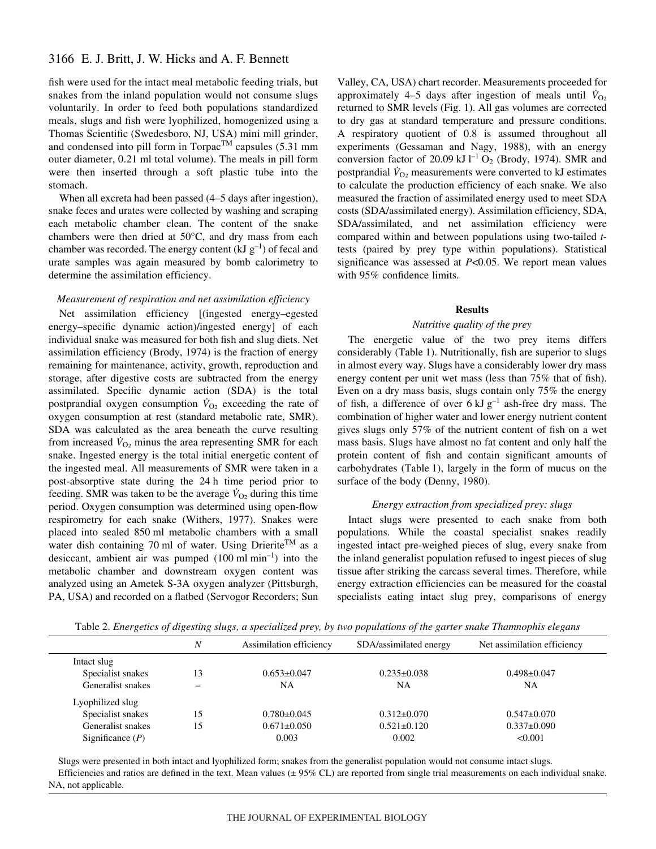# 3166 E. J. Britt, J. W. Hicks and A. F. Bennett

fish were used for the intact meal metabolic feeding trials, but snakes from the inland population would not consume slugs voluntarily. In order to feed both populations standardized meals, slugs and fish were lyophilized, homogenized using a Thomas Scientific (Swedesboro, NJ, USA) mini mill grinder, and condensed into pill form in Torpac<sup>TM</sup> capsules (5.31 mm outer diameter, 0.21 ml total volume). The meals in pill form were then inserted through a soft plastic tube into the stomach.

When all excreta had been passed  $(4–5$  days after ingestion), snake feces and urates were collected by washing and scraping each metabolic chamber clean. The content of the snake chambers were then dried at 50°C, and dry mass from each chamber was recorded. The energy content (kJ  $g^{-1}$ ) of fecal and urate samples was again measured by bomb calorimetry to determine the assimilation efficiency.

#### *Measurement of respiration and net assimilation efficiency*

Net assimilation efficiency [(ingested energy–egested energy–specific dynamic action)/ingested energy] of each individual snake was measured for both fish and slug diets. Net assimilation efficiency (Brody, 1974) is the fraction of energy remaining for maintenance, activity, growth, reproduction and storage, after digestive costs are subtracted from the energy assimilated. Specific dynamic action (SDA) is the total postprandial oxygen consumption  $V_{\text{O}_2}$  exceeding the rate of oxygen consumption at rest (standard metabolic rate, SMR). SDA was calculated as the area beneath the curve resulting from increased  $V_{\text{O}_2}$  minus the area representing SMR for each snake. Ingested energy is the total initial energetic content of the ingested meal. All measurements of SMR were taken in a post-absorptive state during the 24<sup>h</sup> time period prior to feeding. SMR was taken to be the average  $V_{O_2}$  during this time period. Oxygen consumption was determined using open-flow respirometry for each snake (Withers, 1977). Snakes were placed into sealed 850 ml metabolic chambers with a small water dish containing 70 ml of water. Using Drierite<sup>TM</sup> as a desiccant, ambient air was pumped  $(100 \text{ ml min}^{-1})$  into the metabolic chamber and downstream oxygen content was analyzed using an Ametek S-3A oxygen analyzer (Pittsburgh, PA, USA) and recorded on a flatbed (Servogor Recorders; Sun Valley, CA, USA) chart recorder. Measurements proceeded for approximately 4–5 days after ingestion of meals until  $\dot{V}_{\text{O}2}$ returned to SMR levels (Fig. 1). All gas volumes are corrected to dry gas at standard temperature and pressure conditions. A respiratory quotient of 0.8 is assumed throughout all experiments (Gessaman and Nagy, 1988), with an energy conversion factor of 20.09 kJ  $l^{-1}$  O<sub>2</sub> (Brody, 1974). SMR and postprandial  $\dot{V}_{O_2}$  measurements were converted to kJ estimates to calculate the production efficiency of each snake. We also measured the fraction of assimilated energy used to meet SDA costs (SDA/assimilated energy). Assimilation efficiency, SDA, SDA/assimilated, and net assimilation efficiency were compared within and between populations using two-tailed *t*tests (paired by prey type within populations). Statistical significance was assessed at *P*<0.05. We report mean values with 95% confidence limits.

# **Results**

#### *Nutritive quality of the prey*

The energetic value of the two prey items differs considerably (Table 1). Nutritionally, fish are superior to slugs in almost every way. Slugs have a considerably lower dry mass energy content per unit wet mass (less than 75% that of fish). Even on a dry mass basis, slugs contain only 75% the energy of fish, a difference of over 6 kJ  $g^{-1}$  ash-free dry mass. The combination of higher water and lower energy nutrient content gives slugs only 57% of the nutrient content of fish on a wet mass basis. Slugs have almost no fat content and only half the protein content of fish and contain significant amounts of carbohydrates (Table 1), largely in the form of mucus on the surface of the body (Denny, 1980).

# *Energy extraction from specialized prey: slugs*

Intact slugs were presented to each snake from both populations. While the coastal specialist snakes readily ingested intact pre-weighed pieces of slug, every snake from the inland generalist population refused to ingest pieces of slug tissue after striking the carcass several times. Therefore, while energy extraction efficiencies can be measured for the coastal specialists eating intact slug prey, comparisons of energy

|                    | N  | Assimilation efficiency | SDA/assimilated energy | Net assimilation efficiency |  |
|--------------------|----|-------------------------|------------------------|-----------------------------|--|
| Intact slug        |    |                         |                        |                             |  |
| Specialist snakes  | 13 | $0.653 \pm 0.047$       | $0.235 \pm 0.038$      | $0.498 \pm 0.047$           |  |
| Generalist snakes  |    | NA                      | <b>NA</b>              | NA                          |  |
| Lyophilized slug   |    |                         |                        |                             |  |
| Specialist snakes  | 15 | $0.780 \pm 0.045$       | $0.312\pm0.070$        | $0.547 \pm 0.070$           |  |
| Generalist snakes  | 15 | $0.671 \pm 0.050$       | $0.521 \pm 0.120$      | $0.337 \pm 0.090$           |  |
| Significance $(P)$ |    | 0.003                   | 0.002                  | < 0.001                     |  |

Table 2. *Energetics of digesting slugs, a specialized prey, by two populations of the garter snake Thamnophis elegans* 

Slugs were presented in both intact and lyophilized form; snakes from the generalist population would not consume intact slugs. Efficiencies and ratios are defined in the text. Mean values (± 95% CL) are reported from single trial measurements on each individual snake. NA, not applicable.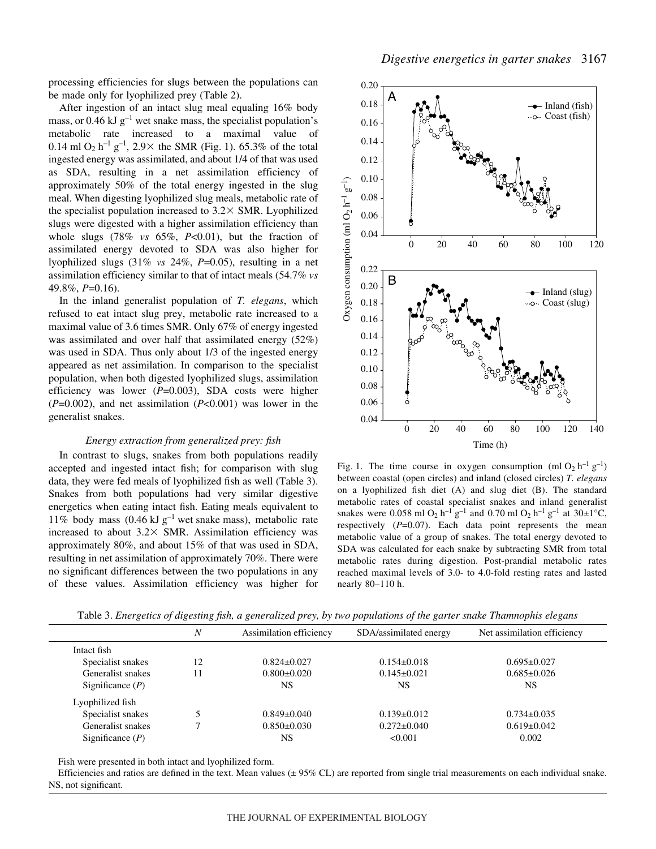processing efficiencies for slugs between the populations can be made only for lyophilized prey (Table 2).

After ingestion of an intact slug meal equaling 16% body mass, or 0.46 kJ  $g^{-1}$  wet snake mass, the specialist population's metabolic rate increased to a maximal value of 0.14 ml O<sub>2</sub> h<sup>-1</sup> g<sup>-1</sup>, 2.9 $\times$  the SMR (Fig. 1). 65.3% of the total ingested energy was assimilated, and about 1/4 of that was used as SDA, resulting in a net assimilation efficiency of approximately 50% of the total energy ingested in the slug meal. When digesting lyophilized slug meals, metabolic rate of the specialist population increased to  $3.2 \times$  SMR. Lyophilized slugs were digested with a higher assimilation efficiency than whole slugs (78% *vs* 65%, *P*<0.01), but the fraction of assimilated energy devoted to SDA was also higher for lyophilized slugs (31% *vs* 24%, *P*=0.05), resulting in a net assimilation efficiency similar to that of intact meals (54.7% *vs* 49.8%, *P*=0.16).

In the inland generalist population of *T. elegans*, which refused to eat intact slug prey, metabolic rate increased to a maximal value of 3.6 times SMR. Only 67% of energy ingested was assimilated and over half that assimilated energy (52%) was used in SDA. Thus only about 1/3 of the ingested energy appeared as net assimilation. In comparison to the specialist population, when both digested lyophilized slugs, assimilation efficiency was lower (*P*=0.003), SDA costs were higher (*P*=0.002), and net assimilation (*P*<0.001) was lower in the generalist snakes.

# *Energy extraction from generalized prey: fish*

In contrast to slugs, snakes from both populations readily accepted and ingested intact fish; for comparison with slug data, they were fed meals of lyophilized fish as well (Table 3). Snakes from both populations had very similar digestive energetics when eating intact fish. Eating meals equivalent to 11% body mass  $(0.46 \text{ kJ g}^{-1}$  wet snake mass), metabolic rate increased to about  $3.2 \times$  SMR. Assimilation efficiency was approximately 80%, and about 15% of that was used in SDA, resulting in net assimilation of approximately 70%. There were no significant differences between the two populations in any of these values. Assimilation efficiency was higher for



Fig. 1. The time course in oxygen consumption (ml O<sub>2</sub> h<sup>-1</sup> g<sup>-1</sup>) between coastal (open circles) and inland (closed circles) *T. elegans* on a lyophilized fish diet (A) and slug diet (B). The standard metabolic rates of coastal specialist snakes and inland generalist snakes were 0.058 ml O<sub>2</sub> h<sup>-1</sup> g<sup>-1</sup> and 0.70 ml O<sub>2</sub> h<sup>-1</sup> g<sup>-1</sup> at 30±1°C, respectively (*P*=0.07). Each data point represents the mean metabolic value of a group of snakes. The total energy devoted to SDA was calculated for each snake by subtracting SMR from total metabolic rates during digestion. Post-prandial metabolic rates reached maximal levels of 3.0- to 4.0-fold resting rates and lasted nearly 80-110 h.

|                    | N  | Assimilation efficiency | SDA/assimilated energy | Net assimilation efficiency |
|--------------------|----|-------------------------|------------------------|-----------------------------|
| Intact fish        |    |                         |                        |                             |
| Specialist snakes  | 12 | $0.824 \pm 0.027$       | $0.154 \pm 0.018$      | $0.695 \pm 0.027$           |
| Generalist snakes  |    | $0.800 \pm 0.020$       | $0.145 \pm 0.021$      | $0.685 \pm 0.026$           |
| Significance $(P)$ |    | NS                      | NS                     | NS                          |
| Lyophilized fish   |    |                         |                        |                             |
| Specialist snakes  |    | $0.849 \pm 0.040$       | $0.139 \pm 0.012$      | $0.734 \pm 0.035$           |
| Generalist snakes  |    | $0.850\pm0.030$         | $0.272 \pm 0.040$      | $0.619 \pm 0.042$           |
| Significance $(P)$ |    | NS                      | < 0.001                | 0.002                       |

Table 3. *Energetics of digesting fish, a generalized prey, by two populations of the garter snake Thamnophis elegans* 

Fish were presented in both intact and lyophilized form.

Efficiencies and ratios are defined in the text. Mean values (± 95% CL) are reported from single trial measurements on each individual snake. NS, not significant.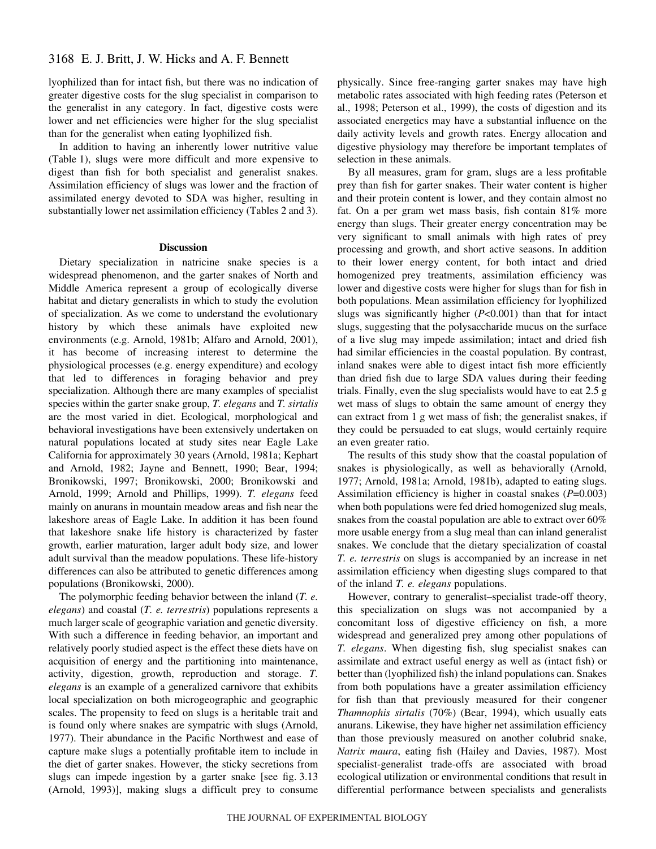# 3168 E. J. Britt, J. W. Hicks and A. F. Bennett

lyophilized than for intact fish, but there was no indication of greater digestive costs for the slug specialist in comparison to the generalist in any category. In fact, digestive costs were lower and net efficiencies were higher for the slug specialist than for the generalist when eating lyophilized fish.

In addition to having an inherently lower nutritive value (Table 1), slugs were more difficult and more expensive to digest than fish for both specialist and generalist snakes. Assimilation efficiency of slugs was lower and the fraction of assimilated energy devoted to SDA was higher, resulting in substantially lower net assimilation efficiency (Tables 2 and 3).

# **Discussion**

Dietary specialization in natricine snake species is a widespread phenomenon, and the garter snakes of North and Middle America represent a group of ecologically diverse habitat and dietary generalists in which to study the evolution of specialization. As we come to understand the evolutionary history by which these animals have exploited new environments (e.g. Arnold, 1981b; Alfaro and Arnold, 2001), it has become of increasing interest to determine the physiological processes (e.g. energy expenditure) and ecology that led to differences in foraging behavior and prey specialization. Although there are many examples of specialist species within the garter snake group, *T. elegans* and *T. sirtalis* are the most varied in diet. Ecological, morphological and behavioral investigations have been extensively undertaken on natural populations located at study sites near Eagle Lake California for approximately 30 years (Arnold, 1981a; Kephart and Arnold, 1982; Jayne and Bennett, 1990; Bear, 1994; Bronikowski, 1997; Bronikowski, 2000; Bronikowski and Arnold, 1999; Arnold and Phillips, 1999). *T. elegans* feed mainly on anurans in mountain meadow areas and fish near the lakeshore areas of Eagle Lake. In addition it has been found that lakeshore snake life history is characterized by faster growth, earlier maturation, larger adult body size, and lower adult survival than the meadow populations. These life-history differences can also be attributed to genetic differences among populations (Bronikowski, 2000).

The polymorphic feeding behavior between the inland (*T. e. elegans*) and coastal (*T. e. terrestris*) populations represents a much larger scale of geographic variation and genetic diversity. With such a difference in feeding behavior, an important and relatively poorly studied aspect is the effect these diets have on acquisition of energy and the partitioning into maintenance, activity, digestion, growth, reproduction and storage. *T. elegans* is an example of a generalized carnivore that exhibits local specialization on both microgeographic and geographic scales. The propensity to feed on slugs is a heritable trait and is found only where snakes are sympatric with slugs (Arnold, 1977). Their abundance in the Pacific Northwest and ease of capture make slugs a potentially profitable item to include in the diet of garter snakes. However, the sticky secretions from slugs can impede ingestion by a garter snake [see fig. 3.13 (Arnold, 1993)], making slugs a difficult prey to consume physically. Since free-ranging garter snakes may have high metabolic rates associated with high feeding rates (Peterson et al., 1998; Peterson et al., 1999), the costs of digestion and its associated energetics may have a substantial influence on the daily activity levels and growth rates. Energy allocation and digestive physiology may therefore be important templates of selection in these animals.

By all measures, gram for gram, slugs are a less profitable prey than fish for garter snakes. Their water content is higher and their protein content is lower, and they contain almost no fat. On a per gram wet mass basis, fish contain 81% more energy than slugs. Their greater energy concentration may be very significant to small animals with high rates of prey processing and growth, and short active seasons. In addition to their lower energy content, for both intact and dried homogenized prey treatments, assimilation efficiency was lower and digestive costs were higher for slugs than for fish in both populations. Mean assimilation efficiency for lyophilized slugs was significantly higher (*P*<0.001) than that for intact slugs, suggesting that the polysaccharide mucus on the surface of a live slug may impede assimilation; intact and dried fish had similar efficiencies in the coastal population. By contrast, inland snakes were able to digest intact fish more efficiently than dried fish due to large SDA values during their feeding trials. Finally, even the slug specialists would have to eat 2.5 g wet mass of slugs to obtain the same amount of energy they can extract from 1 g wet mass of fish; the generalist snakes, if they could be persuaded to eat slugs, would certainly require an even greater ratio.

The results of this study show that the coastal population of snakes is physiologically, as well as behaviorally (Arnold, 1977; Arnold, 1981a; Arnold, 1981b), adapted to eating slugs. Assimilation efficiency is higher in coastal snakes (*P*=0.003) when both populations were fed dried homogenized slug meals, snakes from the coastal population are able to extract over 60% more usable energy from a slug meal than can inland generalist snakes. We conclude that the dietary specialization of coastal *T. e. terrestris* on slugs is accompanied by an increase in net assimilation efficiency when digesting slugs compared to that of the inland *T. e. elegans* populations.

However, contrary to generalist–specialist trade-off theory, this specialization on slugs was not accompanied by a concomitant loss of digestive efficiency on fish, a more widespread and generalized prey among other populations of *T. elegans*. When digesting fish, slug specialist snakes can assimilate and extract useful energy as well as (intact fish) or better than (lyophilized fish) the inland populations can. Snakes from both populations have a greater assimilation efficiency for fish than that previously measured for their congener *Thamnophis sirtalis* (70%) (Bear, 1994), which usually eats anurans. Likewise, they have higher net assimilation efficiency than those previously measured on another colubrid snake, *Natrix maura*, eating fish (Hailey and Davies, 1987). Most specialist-generalist trade-offs are associated with broad ecological utilization or environmental conditions that result in differential performance between specialists and generalists